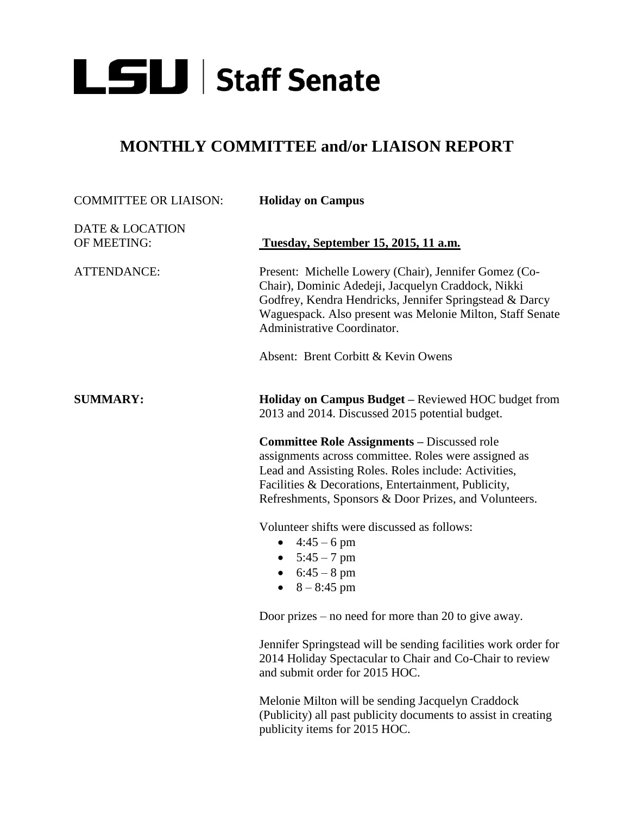

## **MONTHLY COMMITTEE and/or LIAISON REPORT**

| <b>COMMITTEE OR LIAISON:</b>   | <b>Holiday on Campus</b>                                                                                                                                                                                                                                                           |
|--------------------------------|------------------------------------------------------------------------------------------------------------------------------------------------------------------------------------------------------------------------------------------------------------------------------------|
| DATE & LOCATION<br>OF MEETING: | Tuesday, September 15, 2015, 11 a.m.                                                                                                                                                                                                                                               |
| <b>ATTENDANCE:</b>             | Present: Michelle Lowery (Chair), Jennifer Gomez (Co-<br>Chair), Dominic Adedeji, Jacquelyn Craddock, Nikki<br>Godfrey, Kendra Hendricks, Jennifer Springstead & Darcy<br>Waguespack. Also present was Melonie Milton, Staff Senate<br>Administrative Coordinator.                 |
|                                | Absent: Brent Corbitt & Kevin Owens                                                                                                                                                                                                                                                |
| <b>SUMMARY:</b>                | Holiday on Campus Budget - Reviewed HOC budget from<br>2013 and 2014. Discussed 2015 potential budget.                                                                                                                                                                             |
|                                | <b>Committee Role Assignments - Discussed role</b><br>assignments across committee. Roles were assigned as<br>Lead and Assisting Roles. Roles include: Activities,<br>Facilities & Decorations, Entertainment, Publicity,<br>Refreshments, Sponsors & Door Prizes, and Volunteers. |
|                                | Volunteer shifts were discussed as follows:<br>$4:45-6$ pm<br>$\bullet$<br>• $5:45 - 7 \text{ pm}$<br>• $6:45 - 8 \text{ pm}$<br>• $8 - 8:45$ pm                                                                                                                                   |
|                                | Door prizes – no need for more than 20 to give away.                                                                                                                                                                                                                               |
|                                | Jennifer Springstead will be sending facilities work order for<br>2014 Holiday Spectacular to Chair and Co-Chair to review<br>and submit order for 2015 HOC.                                                                                                                       |
|                                | Melonie Milton will be sending Iscauelyn Craddock                                                                                                                                                                                                                                  |

Melonie Milton will be sending Jacquelyn Craddock (Publicity) all past publicity documents to assist in creating publicity items for 2015 HOC.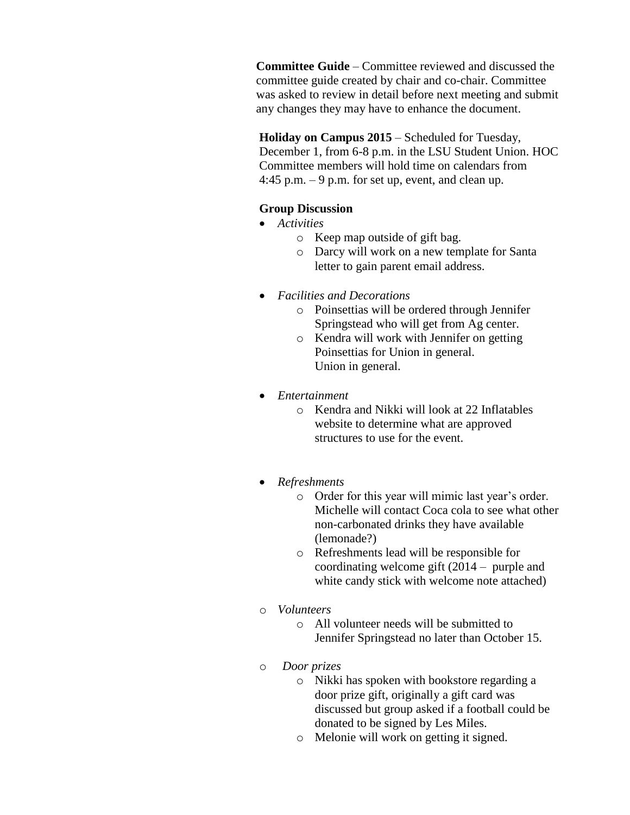**Committee Guide** – Committee reviewed and discussed the committee guide created by chair and co-chair. Committee was asked to review in detail before next meeting and submit any changes they may have to enhance the document.

**Holiday on Campus 2015** – Scheduled for Tuesday, December 1, from 6-8 p.m. in the LSU Student Union. HOC Committee members will hold time on calendars from 4:45 p.m.  $-9$  p.m. for set up, event, and clean up.

## **Group Discussion**

- *Activities*
	- o Keep map outside of gift bag.
	- o Darcy will work on a new template for Santa letter to gain parent email address.
- *Facilities and Decorations*
	- o Poinsettias will be ordered through Jennifer Springstead who will get from Ag center.
	- o Kendra will work with Jennifer on getting Poinsettias for Union in general. Union in general.
- *Entertainment*
	- o Kendra and Nikki will look at 22 Inflatables website to determine what are approved structures to use for the event.
- *Refreshments*
	- o Order for this year will mimic last year's order. Michelle will contact Coca cola to see what other non-carbonated drinks they have available (lemonade?)
	- o Refreshments lead will be responsible for coordinating welcome gift (2014 – purple and white candy stick with welcome note attached)
- o *Volunteers* 
	- o All volunteer needs will be submitted to Jennifer Springstead no later than October 15.
- o *Door prizes* 
	- o Nikki has spoken with bookstore regarding a door prize gift, originally a gift card was discussed but group asked if a football could be donated to be signed by Les Miles.
	- o Melonie will work on getting it signed.